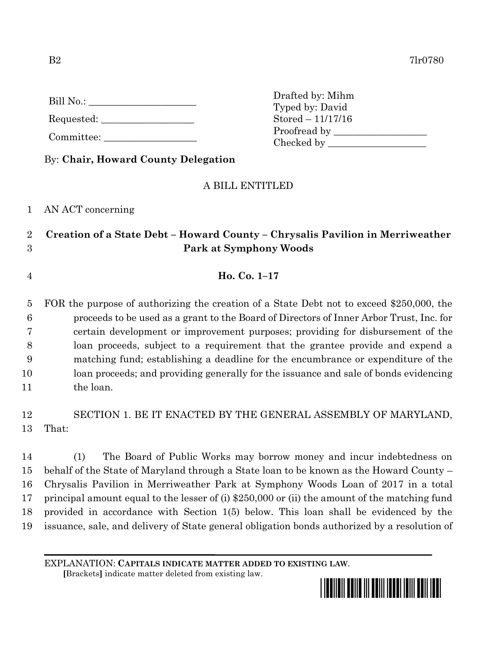| Bill No |  |
|---------|--|
|         |  |

Requested:

Committee:

Drafted by: Mihm Typed by: David Stored – 11/17/16 Proofread by Checked by \_\_\_\_\_\_\_\_\_\_\_\_\_\_\_\_\_\_\_\_

By: **Chair, Howard County Delegation**

## A BILL ENTITLED

1 AN ACT concerning

## 2 **Creation of a State Debt – Howard County – Chrysalis Pavilion in Merriweather**  3 **Park at Symphony Woods**

4 **Ho. Co. 1–17**

 FOR the purpose of authorizing the creation of a State Debt not to exceed \$250,000, the proceeds to be used as a grant to the Board of Directors of Inner Arbor Trust, Inc. for certain development or improvement purposes; providing for disbursement of the loan proceeds, subject to a requirement that the grantee provide and expend a matching fund; establishing a deadline for the encumbrance or expenditure of the loan proceeds; and providing generally for the issuance and sale of bonds evidencing the loan.

12 SECTION 1. BE IT ENACTED BY THE GENERAL ASSEMBLY OF MARYLAND, 13 That:

 (1) The Board of Public Works may borrow money and incur indebtedness on behalf of the State of Maryland through a State loan to be known as the Howard County – Chrysalis Pavilion in Merriweather Park at Symphony Woods Loan of 2017 in a total principal amount equal to the lesser of (i) \$250,000 or (ii) the amount of the matching fund provided in accordance with Section 1(5) below. This loan shall be evidenced by the issuance, sale, and delivery of State general obligation bonds authorized by a resolution of

EXPLANATION: **CAPITALS INDICATE MATTER ADDED TO EXISTING LAW**.

 **[**Brackets**]** indicate matter deleted from existing law.

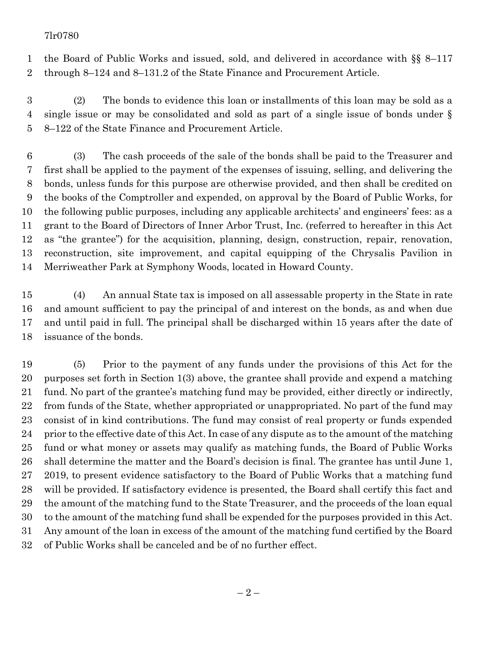## 7lr0780

 the Board of Public Works and issued, sold, and delivered in accordance with §§ 8–117 through 8–124 and 8–131.2 of the State Finance and Procurement Article.

 (2) The bonds to evidence this loan or installments of this loan may be sold as a single issue or may be consolidated and sold as part of a single issue of bonds under § 8–122 of the State Finance and Procurement Article.

 (3) The cash proceeds of the sale of the bonds shall be paid to the Treasurer and first shall be applied to the payment of the expenses of issuing, selling, and delivering the bonds, unless funds for this purpose are otherwise provided, and then shall be credited on the books of the Comptroller and expended, on approval by the Board of Public Works, for the following public purposes, including any applicable architects' and engineers' fees: as a grant to the Board of Directors of Inner Arbor Trust, Inc. (referred to hereafter in this Act as "the grantee") for the acquisition, planning, design, construction, repair, renovation, reconstruction, site improvement, and capital equipping of the Chrysalis Pavilion in Merriweather Park at Symphony Woods, located in Howard County.

 (4) An annual State tax is imposed on all assessable property in the State in rate and amount sufficient to pay the principal of and interest on the bonds, as and when due and until paid in full. The principal shall be discharged within 15 years after the date of issuance of the bonds.

 (5) Prior to the payment of any funds under the provisions of this Act for the purposes set forth in Section 1(3) above, the grantee shall provide and expend a matching fund. No part of the grantee's matching fund may be provided, either directly or indirectly, from funds of the State, whether appropriated or unappropriated. No part of the fund may consist of in kind contributions. The fund may consist of real property or funds expended prior to the effective date of this Act. In case of any dispute as to the amount of the matching fund or what money or assets may qualify as matching funds, the Board of Public Works shall determine the matter and the Board's decision is final. The grantee has until June 1, 2019, to present evidence satisfactory to the Board of Public Works that a matching fund will be provided. If satisfactory evidence is presented, the Board shall certify this fact and the amount of the matching fund to the State Treasurer, and the proceeds of the loan equal to the amount of the matching fund shall be expended for the purposes provided in this Act. Any amount of the loan in excess of the amount of the matching fund certified by the Board of Public Works shall be canceled and be of no further effect.